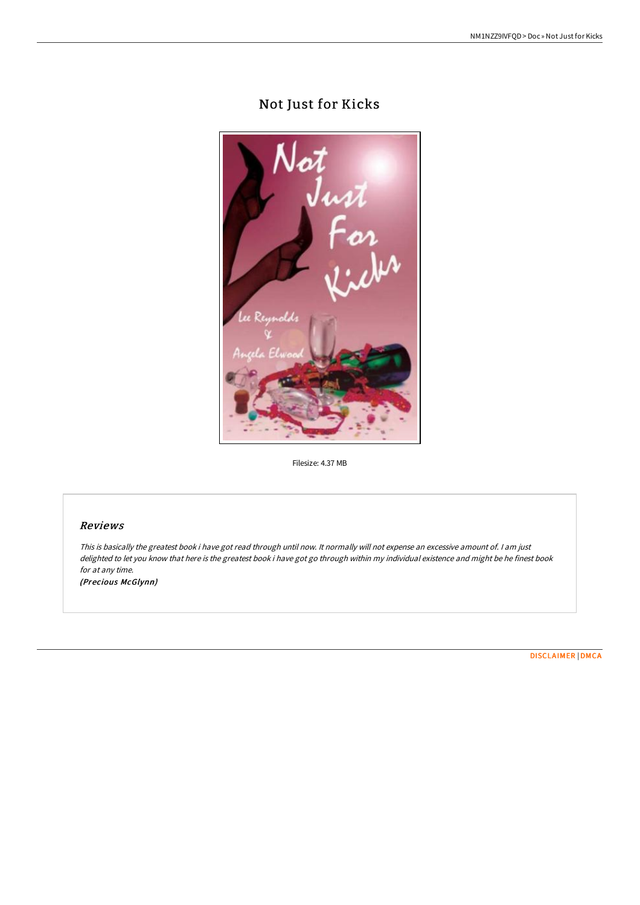## Not Just for Kicks



Filesize: 4.37 MB

## Reviews

This is basically the greatest book i have got read through until now. It normally will not expense an excessive amount of. <sup>I</sup> am just delighted to let you know that here is the greatest book i have got go through within my individual existence and might be he finest book for at any time.

(Precious McGlynn)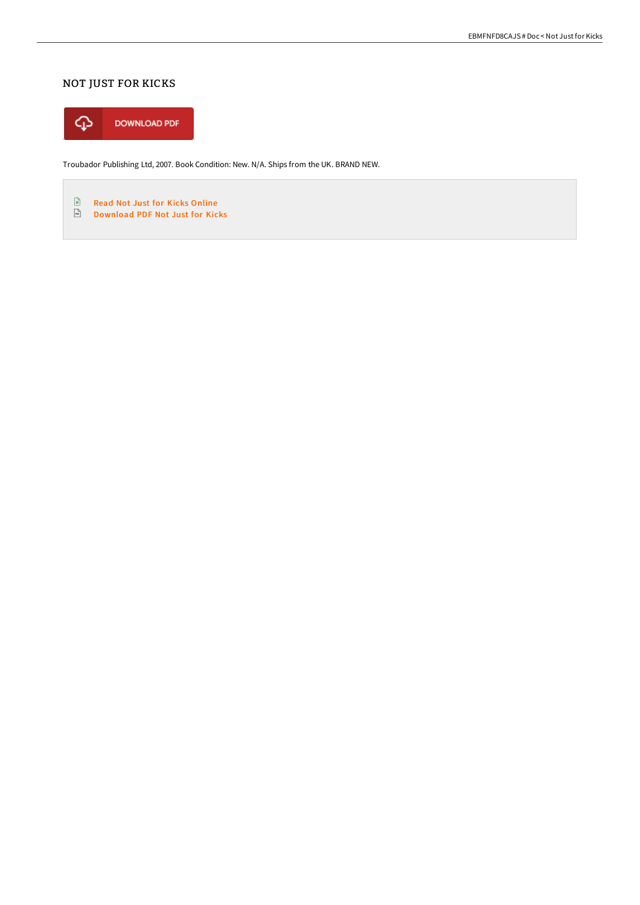## NOT JUST FOR KICKS



Troubador Publishing Ltd, 2007. Book Condition: New. N/A. Ships from the UK. BRAND NEW.

 $\mathbf{E}$ Read Not Just for Kicks [Online](http://albedo.media/not-just-for-kicks.html) [Download](http://albedo.media/not-just-for-kicks.html) PDF Not Just for Kicks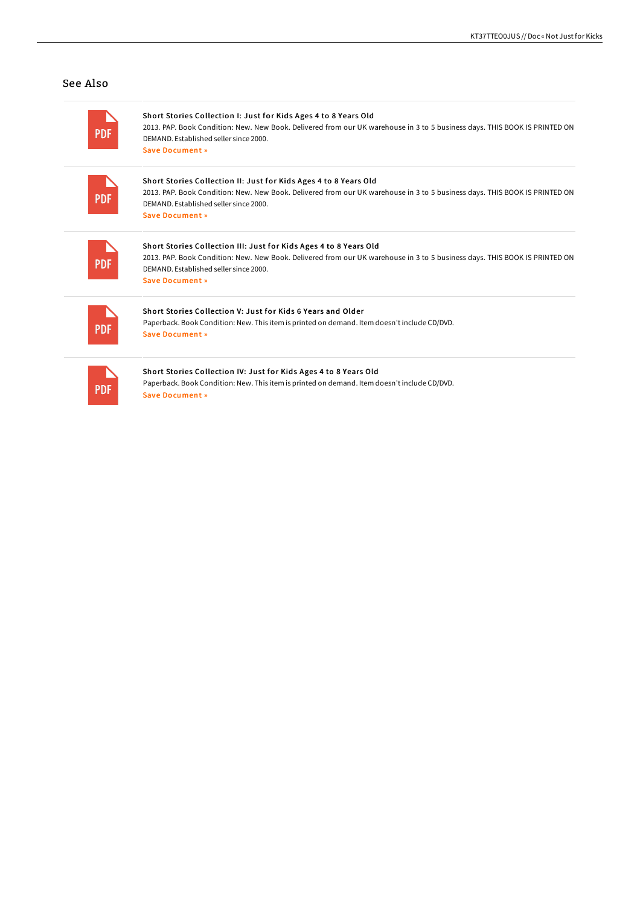## See Also

| <b>PDF</b> | Short Stories Collection I: Just for Kids Ages 4 to 8 Years Old<br>2013. PAP. Book Condition: New. New Book. Delivered from our UK warehouse in 3 to 5 business days. THIS BOOK IS PRINTED ON<br>DEMAND, Established seller since 2000.<br>Save Document »  |
|------------|-------------------------------------------------------------------------------------------------------------------------------------------------------------------------------------------------------------------------------------------------------------|
| <b>PDF</b> | Short Stories Collection II: Just for Kids Ages 4 to 8 Years Old<br>2013. PAP. Book Condition: New. New Book. Delivered from our UK warehouse in 3 to 5 business days. THIS BOOK IS PRINTED ON<br>DEMAND, Established seller since 2000.<br>Save Document » |
|            |                                                                                                                                                                                                                                                             |
|            | Short Stories Collection III: Just for Kids Ages 4 to 8 Years Old                                                                                                                                                                                           |
| <b>PDF</b> | 2013. PAP. Book Condition: New. New Book. Delivered from our UK warehouse in 3 to 5 business days. THIS BOOK IS PRINTED ON<br>DEMAND, Established seller since 2000.                                                                                        |
|            | Save Document »                                                                                                                                                                                                                                             |
|            | Short Stories Collection V: Just for Kids 6 Years and Older                                                                                                                                                                                                 |
| <b>PDF</b> | Paperback. Book Condition: New. This item is printed on demand. Item doesn't include CD/DVD.                                                                                                                                                                |
|            | Save Document »                                                                                                                                                                                                                                             |
|            | Short Stories Collection IV: Just for Kids Ages 4 to 8 Years Old                                                                                                                                                                                            |
| PDF        | Paperback. Book Condition: New. This item is printed on demand. Item doesn't include CD/DVD.                                                                                                                                                                |
|            | Save Document »                                                                                                                                                                                                                                             |